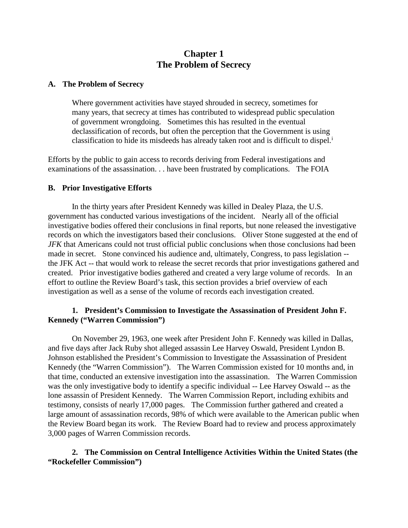# **Chapter 1 The Problem of Secrecy**

#### **A. The Problem of Secrecy**

Where government activities have stayed shrouded in secrecy, sometimes for many years, that secrecy at times has contributed to widespread public speculation of government wrongdoing. Sometimes this has resulted in the eventual declassification of records, but often the perception that the Government is using class[i](#page-3-0)fication to hide its misdeeds has already taken root and is difficult to dispel.<sup>i</sup>

Efforts by the public to gain access to records deriving from Federal investigations and examinations of the assassination. . . have been frustrated by complications. The FOIA

#### **B. Prior Investigative Efforts**

In the thirty years after President Kennedy was killed in Dealey Plaza, the U.S. government has conducted various investigations of the incident. Nearly all of the official investigative bodies offered their conclusions in final reports, but none released the investigative records on which the investigators based their conclusions. Oliver Stone suggested at the end of *JFK* that Americans could not trust official public conclusions when those conclusions had been made in secret. Stone convinced his audience and, ultimately, Congress, to pass legislation - the JFK Act -- that would work to release the secret records that prior investigations gathered and created. Prior investigative bodies gathered and created a very large volume of records. In an effort to outline the Review Board's task, this section provides a brief overview of each investigation as well as a sense of the volume of records each investigation created.

#### **1. President's Commission to Investigate the Assassination of President John F. Kennedy ("Warren Commission")**

On November 29, 1963, one week after President John F. Kennedy was killed in Dallas, and five days after Jack Ruby shot alleged assassin Lee Harvey Oswald, President Lyndon B. Johnson established the President's Commission to Investigate the Assassination of President Kennedy (the "Warren Commission"). The Warren Commission existed for 10 months and, in that time, conducted an extensive investigation into the assassination. The Warren Commission was the only investigative body to identify a specific individual -- Lee Harvey Oswald -- as the lone assassin of President Kennedy. The Warren Commission Report, including exhibits and testimony, consists of nearly 17,000 pages. The Commission further gathered and created a large amount of assassination records, 98% of which were available to the American public when the Review Board began its work. The Review Board had to review and process approximately 3,000 pages of Warren Commission records.

### **2. The Commission on Central Intelligence Activities Within the United States (the "Rockefeller Commission")**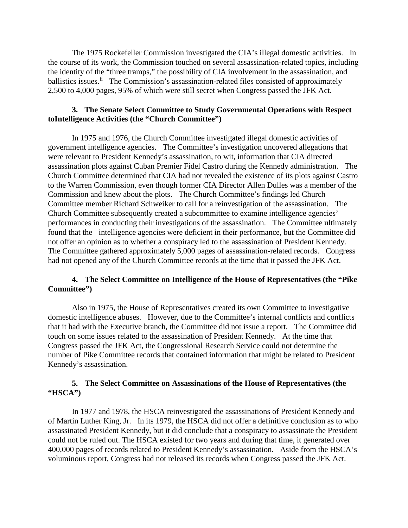The 1975 Rockefeller Commission investigated the CIA's illegal domestic activities. In the course of its work, the Commission touched on several assassination-related topics, including the identity of the "three tramps," the possibility of CIA involvement in the assassination, and ballistics issues.<sup>[ii](#page-3-1)</sup> The Commission's assassination-related files consisted of approximately 2,500 to 4,000 pages, 95% of which were still secret when Congress passed the JFK Act.

### **3. The Senate Select Committee to Study Governmental Operations with Respect toIntelligence Activities (the "Church Committee")**

In 1975 and 1976, the Church Committee investigated illegal domestic activities of government intelligence agencies. The Committee's investigation uncovered allegations that were relevant to President Kennedy's assassination, to wit, information that CIA directed assassination plots against Cuban Premier Fidel Castro during the Kennedy administration. The Church Committee determined that CIA had not revealed the existence of its plots against Castro to the Warren Commission, even though former CIA Director Allen Dulles was a member of the Commission and knew about the plots. The Church Committee's findings led Church Committee member Richard Schweiker to call for a reinvestigation of the assassination. The Church Committee subsequently created a subcommittee to examine intelligence agencies' performances in conducting their investigations of the assassination. The Committee ultimately found that the intelligence agencies were deficient in their performance, but the Committee did not offer an opinion as to whether a conspiracy led to the assassination of President Kennedy. The Committee gathered approximately 5,000 pages of assassination-related records. Congress had not opened any of the Church Committee records at the time that it passed the JFK Act.

### **4. The Select Committee on Intelligence of the House of Representatives (the "Pike Committee")**

Also in 1975, the House of Representatives created its own Committee to investigative domestic intelligence abuses. However, due to the Committee's internal conflicts and conflicts that it had with the Executive branch, the Committee did not issue a report. The Committee did touch on some issues related to the assassination of President Kennedy. At the time that Congress passed the JFK Act, the Congressional Research Service could not determine the number of Pike Committee records that contained information that might be related to President Kennedy's assassination.

### **5. The Select Committee on Assassinations of the House of Representatives (the "HSCA")**

In 1977 and 1978, the HSCA reinvestigated the assassinations of President Kennedy and of Martin Luther King, Jr. In its 1979, the HSCA did not offer a definitive conclusion as to who assassinated President Kennedy, but it did conclude that a conspiracy to assassinate the President could not be ruled out. The HSCA existed for two years and during that time, it generated over 400,000 pages of records related to President Kennedy's assassination. Aside from the HSCA's voluminous report, Congress had not released its records when Congress passed the JFK Act.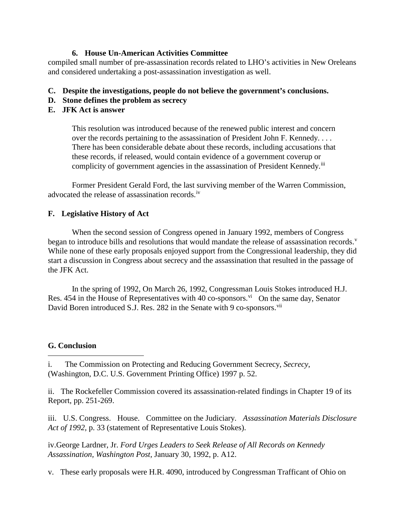### **6. House Un-American Activities Committee**

compiled small number of pre-assassination records related to LHO's activities in New Oreleans and considered undertaking a post-assassination investigation as well.

## **C. Despite the investigations, people do not believe the government's conclusions.**

**D. Stone defines the problem as secrecy**

## **E. JFK Act is answer**

This resolution was introduced because of the renewed public interest and concern over the records pertaining to the assassination of President John F. Kennedy. . . . There has been considerable debate about these records, including accusations that these records, if released, would contain evidence of a government coverup or complicity of government agencies in the assassination of President Kennedy.<sup>[iii](#page-3-2)</sup>

Former President Gerald Ford, the last surviving member of the Warren Commission, advocated the release of assassination records.[iv](#page-3-3) 

## **F. Legislative History of Act**

When the second session of Congress opened in January 1992, members of Congress began to introduce bills and resolutions that would mandate the release of assassination records.<sup>[v](#page-3-4)</sup> While none of these early proposals enjoyed support from the Congressional leadership, they did start a discussion in Congress about secrecy and the assassination that resulted in the passage of the JFK Act.

In the spring of 1992, On March 26, 1992, Congressman Louis Stokes introduced H.J. Res. 454 in the House of Representatives with 40 co-sponsors.<sup>[vi](#page-3-5)</sup> On the same day, Senator David Boren introduced S.J. Res. 282 in the Senate with 9 co-sponsors.<sup>[vii](#page-3-6)</sup>

## **G. Conclusion**

 $\overline{a}$ 

ii. The Rockefeller Commission covered its assassination-related findings in Chapter 19 of its Report, pp. 251-269.

iii. U.S. Congress. House. Committee on the Judiciary. *Assassination Materials Disclosure Act of 1992,* p. 33 (statement of Representative Louis Stokes).

iv.George Lardner, Jr. *Ford Urges Leaders to Seek Release of All Records on Kennedy Assassination, Washington Post,* January 30, 1992, p. A12.

v. These early proposals were H.R. 4090, introduced by Congressman Trafficant of Ohio on

i. The Commission on Protecting and Reducing Government Secrecy, *Secrecy*, (Washington, D.C. U.S. Government Printing Office) 1997 p. 52.